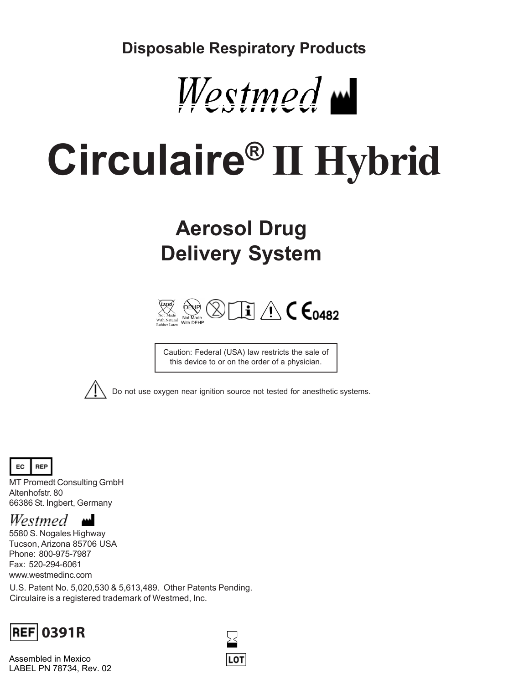**Disposable Respiratory Products**



# **Circulaire® II Hybrid**

## **Aerosol Drug Delivery System**



Caution: Federal (USA) law restricts the sale of this device to or on the order of a physician.



Do not use oxygen near ignition source not tested for anesthetic systems.



MT Promedt Consulting GmbH Altenhofstr. 80 66386 St. Ingbert, Germany

### Westmed **m**

5580 S. Nogales Highway Tucson, Arizona 85706 USA Phone: 800-975-7987 Fax: 520-294-6061 www.westmedinc.com

U.S. Patent No. 5,020,530 & 5,613,489. Other Patents Pending. Circulaire is a registered trademark of Westmed, Inc.



Assembled in Mexico LABEL PN 78734, Rev. 02